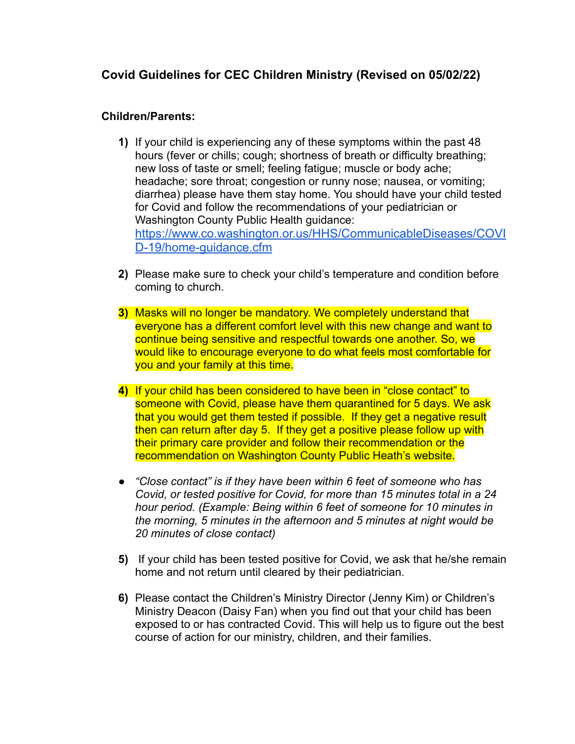## **Covid Guidelines for CEC Children Ministry (Revised on 05/02/22)**

## **Children/Parents:**

- **1)** If your child is experiencing any of these symptoms within the past 48 hours (fever or chills; cough; shortness of breath or difficulty breathing; new loss of taste or smell; feeling fatigue; muscle or body ache; headache; sore throat; congestion or runny nose; nausea, or vomiting; diarrhea) please have them stay home. You should have your child tested for Covid and follow the recommendations of your pediatrician or Washington County Public Health guidance: [https://www.co.washington.or.us/HHS/CommunicableDiseases/COVI](https://www.co.washington.or.us/HHS/CommunicableDiseases/COVID-19/home-guidance.cfm) [D-19/home-guidance.cfm](https://www.co.washington.or.us/HHS/CommunicableDiseases/COVID-19/home-guidance.cfm)
- **2)** Please make sure to check your child's temperature and condition before coming to church.
- **3)** Masks will no longer be mandatory. We completely understand that everyone has a different comfort level with this new change and want to continue being sensitive and respectful towards one another. So, we would like to encourage everyone to do what feels most comfortable for you and your family at this time.
- **4)** If your child has been considered to have been in "close contact" to someone with Covid, please have them quarantined for 5 days. We ask that you would get them tested if possible. If they get a negative result then can return after day 5. If they get a positive please follow up with their primary care provider and follow their recommendation or the recommendation on Washington County Public Heath's website.
- *● "Close contact" is if they have been within 6 feet of someone who has Covid, or tested positive for Covid, for more than 15 minutes total in a 24 hour period. (Example: Being within 6 feet of someone for 10 minutes in the morning, 5 minutes in the afternoon and 5 minutes at night would be 20 minutes of close contact)*
- **5)** If your child has been tested positive for Covid, we ask that he/she remain home and not return until cleared by their pediatrician.
- **6)** Please contact the Children's Ministry Director (Jenny Kim) or Children's Ministry Deacon (Daisy Fan) when you find out that your child has been exposed to or has contracted Covid. This will help us to figure out the best course of action for our ministry, children, and their families.